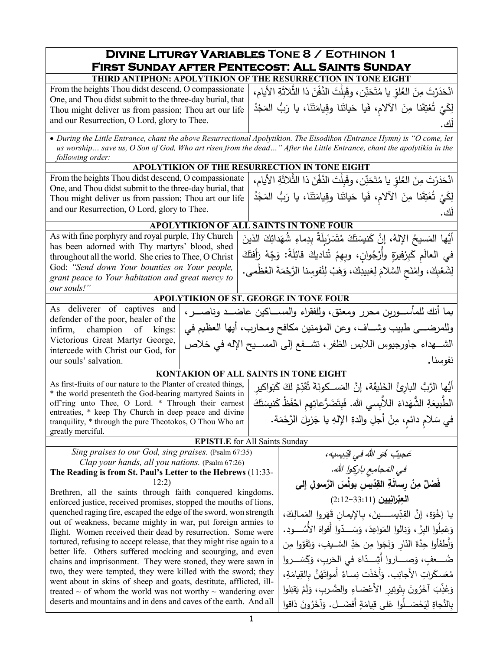#### **Divine Liturgy Variables Tone 8 / Eothinon 1 First Sunday after Pentecost: All Saints Sunday THIRD ANTIPHON: APOLYTIKION OF THE RESURRECTION IN TONE EIGHT**

| THIND ANTH HON, AT OLL HIMON OF THE NEQUANECTION IN TONE EIGHT                                             |                                                                                                                                                                                                                                                                                                      |  |  |
|------------------------------------------------------------------------------------------------------------|------------------------------------------------------------------------------------------------------------------------------------------------------------------------------------------------------------------------------------------------------------------------------------------------------|--|--|
| One, and Thou didst submit to the three-day burial, that  <br>and our Resurrection, O Lord, glory to Thee. | انْحَدَرْتَ مِنَ الْعُلْوِّ يا مُتَحَنِّن، وقَبِلْتَ الدَّفْنَ ذا الثَّلاثَةِ الأيام،   From the heights Thou didst descend, O compassionate<br> لَكِيْ تُعْتِقَنَا مِنَ الْأَلَامِ، فَيا حَياتَنا وقيامَتَنَا، يا رَبُّ الْمَجْدُ   Thou might deliver us from passion; Thou art our life<br>ٰ آگ ۔ |  |  |

• *During the Little Entrance, chant the above Resurrectional Apolytikion. The Eisodikon (Entrance Hymn) is "O come, let us worship… save us, O Son of God, Who art risen from the dead…" After the Little Entrance, chant the apolytikia in the following order:*

#### **APOLYTIKION OF THE RESURRECTION IN TONE EIGHT**

|                                                          | انْحَدَرْتَ مِنَ الْعُلْقِ يا مُتَحَنِّن، وقَبِلْتَ الدَّفْنَ ذا الثَّلاثَةِ الأيام،   From the heights Thou didst descend, O compassionate |
|----------------------------------------------------------|---------------------------------------------------------------------------------------------------------------------------------------------|
| One, and Thou didst submit to the three-day burial, that | لِكَيْ تُعْتِقَنَا مِنَ الْأَلَامِ، فَيا حَياتَنا وقيامَتَنَا، يا رَبُّ الْمَجْدُ   Thou might deliver us from passion; Thou art our life   |
| and our Resurrection, O Lord, glory to Thee.             | <u>'اک</u>                                                                                                                                  |

## **APOLYTIKION OF ALL SAINTS IN TONE FOUR**

As with fine porphyry and royal purple, Thy Church has been adorned with Thy martyrs' blood, shed throughout all the world. She cries to Thee, O Christ God: *"Send down Your bounties on Your people, grant peace to Your habitation and great mercy to our souls!"* َ َ الذین ِك َدائ ِ ُ شه ِماء َ ٌة ِ بد ِل � َ ر َس ت ُ َ م َك ت َ َن�س ُ َّ ، إن � ُ الإله َس�ح ُّأیها الم .<br>. في العالَمِ كَبِرْفيرَةٍ وأُرْجُوانٍ، وبِهِمْ تُناديكَ قائِلَةً: وَجِّهْ رَأفتَكَ لِشَعْبِكَ، وامْنَحِ السَّلامَ لِعَبيدِكَ، وَهَبْ لِنُفوسِنا الرَّحْمَةَ العُظْمى. ا<br>ا ْ

## **APOLYTIKION OF ST. GEORGE IN TONE FOUR**

As deliverer of captives and defender of the poor, healer of the infirm, champion of kings: Victorious Great Martyr George, intercede with Christ our God, for our souls' salvation. بما أنك للمأســـوربن محرر ومعتق، وللفقراء والمســـاكین عاضـــد وناصــــر ، وللمرضـــى طبيب وشـــاف، وعن المؤمنين مكافح ومحارب، أيها العظيم في الشـــهداء جاورجیوس اللابس الظفر ، تشـــفع إلى المســـيح الإله في خلاص نفوسنا**.**

# **KONTAKION OF ALL SAINTS IN TONE EIGHT** أَيُّها الرَّبُّ البارِئُ الخَلِيقَة، إنَّ المَســكونَةَ تُقَدِّمُ لَكَ كَبَواكيرِ<br>وَيُّ

As first-fruits of our nature to the Planter of created things, \* the world presenteth the God-bearing martyred Saints in off'ring unto Thee, O Lord. \* Through their earnest entreaties, \* keep Thy Church in deep peace and divine tranquility, \* through the pure Theotokos, O Thou Who art greatly merciful.

#### **EPISTLE** for All Saints S

*Sing praises to our God, sing praises.* (Psalm 67:35) *Clap your hands, all you nations.* (Psalm 67:26)

#### **The Reading is from St. Paul's Letter to the Hebrews** (11:33- 12:2)

Brethren, all the saints through faith conquered kingdoms, enforced justice, received promises, stopped the mouths of lions, quenched raging fire, escaped the edge of the sword, won strength out of weakness, became mighty in war, put foreign armies to flight. Women received their dead by resurrection. Some were tortured, refusing to accept release, that they might rise again to a better life. Others suffered mocking and scourging, and even chains and imprisonment. They were stoned, they were sawn in two, they were tempted, they were killed with the sword; they went about in skins of sheep and goats, destitute, afflicted, illtreated  $\sim$  of whom the world was not worthy  $\sim$  wandering over deserts and mountains and in dens and caves of the earth. And all

ِ�س�ه، ِّد ُ في ق َ الله ُ و ٌجیب ه عِ ِع ِ �ار�وا الله في الم . َ جام **ُ َس َّ الر ِ سول إلى ّ ِ �س بول ِد ِ الق َة ْن ِ رسال ِ ٌ م َف ْصل ِیین ْران الع** (2:12-33:11) **ِب** ،َ ِك َمـالـ َروا الم َه َ ، �ـِ ِ الإ�مـان ق ِ�ســــــــــــین ّ ِد َ َّ ة، إن القـ �ـا إخو ْ َ الأُســــــــــ ُ ود. ّوا أَفواه َســــــــــ َ <sup>د</sup> ،َ و َ ِواعد َنالوا الم ُ ِ وا البَّر، و ِل َم َع و ِن ََّووا م َق ت َ ِ َّ الســــــ ِ �ف، و ّ َد ِن ح َوا م َج ن َ ّ ِار و َ الن َ ِ أوا حَّدة أَطف َ و َ في ّاء َصـــــــــاروا أَشـــــــــ ِ <sup>د</sup> َســـــــــ َ ضـــــــــ روا ُ ٍعف، و �َ َ ِرب، و الح ،ِ َة ِ�ام َّن ِ �الق ُ َه ٌ أَموات ِســاء َ َذت ن أَخ َ ِب. و َ ِرات الأَجان َســك ُع م َلوا َقب � ْ َم ل َ ِ َّ والضـ ِرب، و ْضـاء َ ِ وتیر الأَع َ ِ بت ُ ون َر َ آخ ِب ُ ّذ َع و َ ذاقوا ُ ون َر َآخ ٍ أَفضــــــ َ ل. و َة ِ�ام َلى ق ُوا ع ْصــــــ َ <sup>ل</sup> َح �ِ ِ ل ِ� َّ النجاة

الطَّبيعَةِ الشَّهَداءَ اللاَّبِسي الله. فَبِتَضَرُّعاتِهِمِ احْفَظْ كَنيسَتَكَ

في سَلامٍ دائمٍ، مِنْ أجلِ والدةِ الإِلهِ يا جَزِيلَ الرَّحْمَة.